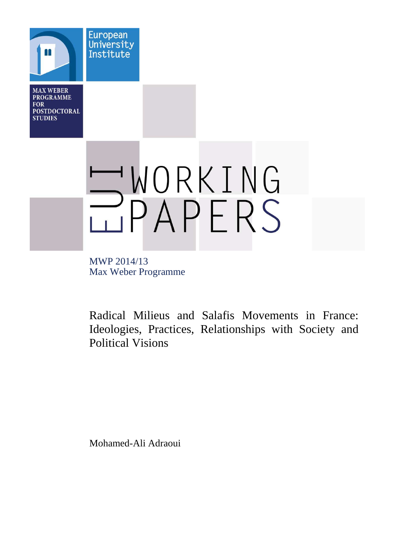**MAX WEBER PROGRAMME FOR POSTDOCTORAL STUDIES** 

**European** University Institute

WORKING

MWP 2014/13 Max Weber Programme

Radical Milieus and Salafis Movements in France: Ideologies, Practices, Relationships with Society and Political Visions

Mohamed-Ali Adraoui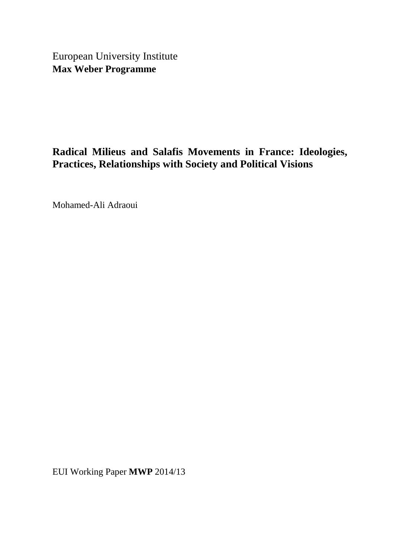European University Institute **Max Weber Programme** 

# **Radical Milieus and Salafis Movements in France: Ideologies, Practices, Relationships with Society and Political Visions**

Mohamed-Ali Adraoui

EUI Working Paper **MWP** 2014/13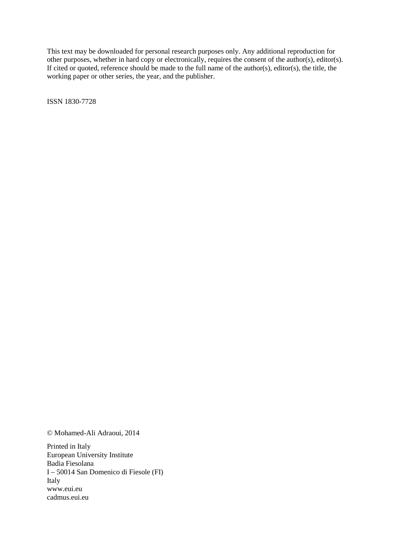This text may be downloaded for personal research purposes only. Any additional reproduction for other purposes, whether in hard copy or electronically, requires the consent of the author(s), editor(s). If cited or quoted, reference should be made to the full name of the author(s), editor(s), the title, the working paper or other series, the year, and the publisher.

ISSN 1830-7728

© Mohamed-Ali Adraoui, 2014

Printed in Italy European University Institute Badia Fiesolana I – 50014 San Domenico di Fiesole (FI) Italy www.eui.eu cadmus.eui.eu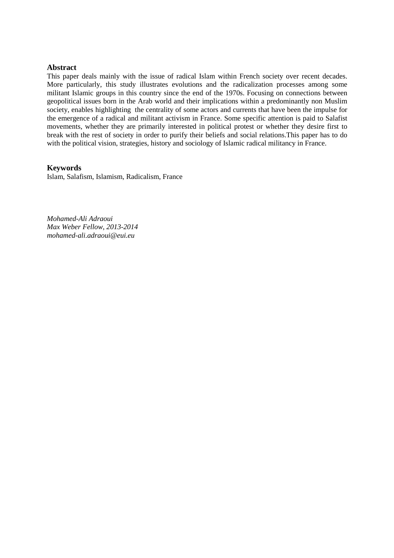## **Abstract**

This paper deals mainly with the issue of radical Islam within French society over recent decades. More particularly, this study illustrates evolutions and the radicalization processes among some militant Islamic groups in this country since the end of the 1970s. Focusing on connections between geopolitical issues born in the Arab world and their implications within a predominantly non Muslim society, enables highlighting the centrality of some actors and currents that have been the impulse for the emergence of a radical and militant activism in France. Some specific attention is paid to Salafist movements, whether they are primarily interested in political protest or whether they desire first to break with the rest of society in order to purify their beliefs and social relations.This paper has to do with the political vision, strategies, history and sociology of Islamic radical militancy in France.

## **Keywords**

Islam, Salafism, Islamism, Radicalism, France

*Mohamed-Ali Adraoui Max Weber Fellow, 2013-2014 mohamed-ali.adraoui@eui.eu*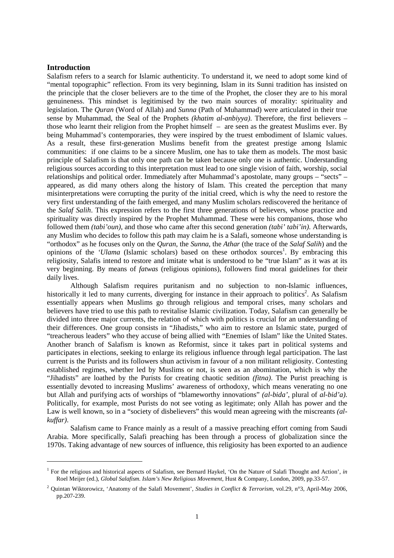# **Introduction**

 $\overline{a}$ 

Salafism refers to a search for Islamic authenticity. To understand it, we need to adopt some kind of "mental topographic" reflection. From its very beginning, Islam in its Sunni tradition has insisted on the principle that the closer believers are to the time of the Prophet, the closer they are to his moral genuineness. This mindset is legitimised by the two main sources of morality: spirituality and legislation. The *Quran* (Word of Allah) and *Sunna* (Path of Muhammad) were articulated in their true sense by Muhammad, the Seal of the Prophets *(khatim al-anbiyya)*. Therefore, the first believers – those who learnt their religion from the Prophet himself – are seen as the greatest Muslims ever. By being Muhammad's contemporaries, they were inspired by the truest embodiment of Islamic values. As a result, these first-generation Muslims benefit from the greatest prestige among Islamic communities: if one claims to be a sincere Muslim, one has to take them as models. The most basic principle of Salafism is that only one path can be taken because only one is authentic. Understanding religious sources according to this interpretation must lead to one single vision of faith, worship, social relationships and political order. Immediately after Muhammad's apostolate, many groups – "sects" – appeared, as did many others along the history of Islam. This created the perception that many misinterpretations were corrupting the purity of the initial creed, which is why the need to restore the very first understanding of the faith emerged, and many Muslim scholars rediscovered the heritance of the *Salaf Salih*. This expression refers to the first three generations of believers, whose practice and spirituality was directly inspired by the Prophet Muhammad. These were his companions, those who followed them *(tabi'oun)*, and those who came after this second generation *(tabi' tabi'in)*. Afterwards, any Muslim who decides to follow this path may claim he is a Salafi, someone whose understanding is "orthodox" as he focuses only on the *Quran*, the *Sunna*, the *Athar* (the trace of the *Salaf Salih*) and the opinions of the '*Ulama* (Islamic scholars) based on these orthodox sources<sup>1</sup>. By embracing this religiosity, Salafis intend to restore and imitate what is understood to be "true Islam" as it was at its very beginning. By means of *fatwas* (religious opinions), followers find moral guidelines for their daily lives.

Although Salafism requires puritanism and no subjection to non-Islamic influences, historically it led to many currents, diverging for instance in their approach to politics<sup>2</sup>. As Salafism essentially appears when Muslims go through religious and temporal crises, many scholars and believers have tried to use this path to revitalise Islamic civilization. Today, Salafism can generally be divided into three major currents, the relation of which with politics is crucial for an understanding of their differences. One group consists in "Jihadists," who aim to restore an Islamic state, purged of "treacherous leaders" who they accuse of being allied with "Enemies of Islam" like the United States. Another branch of Salafism is known as Reformist, since it takes part in political systems and participates in elections, seeking to enlarge its religious influence through legal participation. The last current is the Purists and its followers shun activism in favour of a non militant religiosity. Contesting established regimes, whether led by Muslims or not, is seen as an abomination, which is why the "Jihadists" are loathed by the Purists for creating chaotic sedition *(fitna)*. The Purist preaching is essentially devoted to increasing Muslims' awareness of orthodoxy, which means venerating no one but Allah and purifying acts of worships of "blameworthy innovations" *(al-bida'*, plural of *al-bid'a)*. Politically, for example, most Purists do not see voting as legitimate; only Allah has power and the Law is well known, so in a "society of disbelievers" this would mean agreeing with the miscreants *(alkuffar)*.

Salafism came to France mainly as a result of a massive preaching effort coming from Saudi Arabia. More specifically, Salafi preaching has been through a process of globalization since the 1970s. Taking advantage of new sources of influence, this religiosity has been exported to an audience

<sup>&</sup>lt;sup>1</sup> For the religious and historical aspects of Salafism, see Bernard Haykel, 'On the Nature of Salafi Thought and Action', *in* Roel Meijer (ed.), *Global Salafism. Islam's New Religious Movement*, Hust & Company, London, 2009, pp.33-57.

<sup>2</sup> Quintan Wiktorowicz, 'Anatomy of the Salafi Movement', *Studies in Conflict & Terrorism*, vol.29, n°3, April-May 2006, pp.207-239.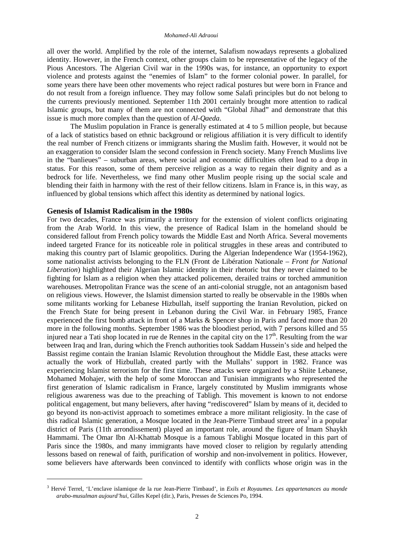all over the world. Amplified by the role of the internet, Salafism nowadays represents a globalized identity. However, in the French context, other groups claim to be representative of the legacy of the Pious Ancestors. The Algerian Civil war in the 1990s was, for instance, an opportunity to export violence and protests against the "enemies of Islam" to the former colonial power. In parallel, for some years there have been other movements who reject radical postures but were born in France and do not result from a foreign influence. They may follow some Salafi principles but do not belong to the currents previously mentioned. September 11th 2001 certainly brought more attention to radical Islamic groups, but many of them are not connected with "Global Jihad" and demonstrate that this issue is much more complex than the question of *Al-Qaeda*.

The Muslim population in France is generally estimated at 4 to 5 million people, but because of a lack of statistics based on ethnic background or religious affiliation it is very difficult to identify the real number of French citizens or immigrants sharing the Muslim faith. However, it would not be an exaggeration to consider Islam the second confession in French society. Many French Muslims live in the "banlieues" – suburban areas, where social and economic difficulties often lead to a drop in status. For this reason, some of them perceive religion as a way to regain their dignity and as a bedrock for life. Nevertheless, we find many other Muslim people rising up the social scale and blending their faith in harmony with the rest of their fellow citizens. Islam in France is, in this way, as influenced by global tensions which affect this identity as determined by national logics.

## **Genesis of Islamist Radicalism in the 1980s**

 $\overline{a}$ 

For two decades, France was primarily a territory for the extension of violent conflicts originating from the Arab World. In this view, the presence of Radical Islam in the homeland should be considered fallout from French policy towards the Middle East and North Africa. Several movements indeed targeted France for its noticeable role in political struggles in these areas and contributed to making this country part of Islamic geopolitics. During the Algerian Independence War (1954-1962), some nationalist activists belonging to the FLN (Front de Libération Nationale *– Front for National Liberation*) highlighted their Algerian Islamic identity in their rhetoric but they never claimed to be fighting for Islam as a religion when they attacked policemen, derailed trains or torched ammunition warehouses. Metropolitan France was the scene of an anti-colonial struggle, not an antagonism based on religious views. However, the Islamist dimension started to really be observable in the 1980s when some militants working for Lebanese Hizbullah, itself supporting the Iranian Revolution, picked on the French State for being present in Lebanon during the Civil War. in February 1985, France experienced the first bomb attack in front of a Marks & Spencer shop in Paris and faced more than 20 more in the following months. September 1986 was the bloodiest period, with 7 persons killed and 55 injured near a Tati shop located in rue de Rennes in the capital city on the  $17<sup>th</sup>$ . Resulting from the war between Iraq and Iran, during which the French authorities took Saddam Hussein's side and helped the Bassist regime contain the Iranian Islamic Revolution throughout the Middle East, these attacks were actually the work of Hizbullah, created partly with the Mullahs' support in 1982. France was experiencing Islamist terrorism for the first time. These attacks were organized by a Shiite Lebanese, Mohamed Mohajer, with the help of some Moroccan and Tunisian immigrants who represented the first generation of Islamic radicalism in France, largely constituted by Muslim immigrants whose religious awareness was due to the preaching of Tabligh. This movement is known to not endorse political engagement, but many believers, after having "rediscovered" Islam by means of it, decided to go beyond its non-activist approach to sometimes embrace a more militant religiosity. In the case of this radical Islamic generation, a Mosque located in the Jean-Pierre Timbaud street area<sup>3</sup> in a popular district of Paris (11th arrondissement) played an important role, around the figure of Imam Shaykh Hammami. The Omar Ibn Al-Khattab Mosque is a famous Tablighi Mosque located in this part of Paris since the 1980s, and many immigrants have moved closer to religion by regularly attending lessons based on renewal of faith, purification of worship and non-involvement in politics. However, some believers have afterwards been convinced to identify with conflicts whose origin was in the

<sup>3</sup> Hervé Terrel, 'L'enclave islamique de la rue Jean-Pierre Timbaud', in *Exils et Royaumes. Les appartenances au monde arabo-musulman aujourd'hui*, Gilles Kepel (dir.), Paris, Presses de Sciences Po, 1994.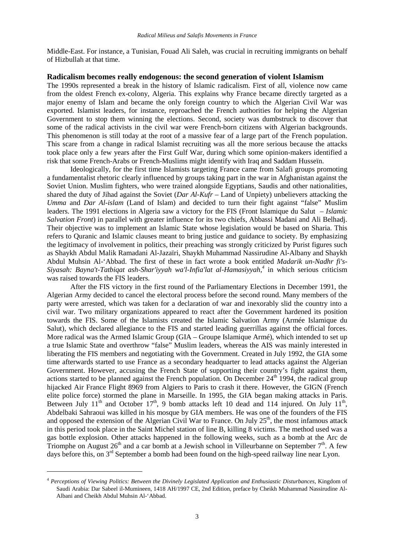Middle-East. For instance, a Tunisian, Fouad Ali Saleh, was crucial in recruiting immigrants on behalf of Hizbullah at that time.

#### **Radicalism becomes really endogenous: the second generation of violent Islamism**

The 1990s represented a break in the history of Islamic radicalism. First of all, violence now came from the oldest French ex-colony, Algeria. This explains why France became directly targeted as a major enemy of Islam and became the only foreign country to which the Algerian Civil War was exported. Islamist leaders, for instance, reproached the French authorities for helping the Algerian Government to stop them winning the elections. Second, society was dumbstruck to discover that some of the radical activists in the civil war were French-born citizens with Algerian backgrounds. This phenomenon is still today at the root of a massive fear of a large part of the French population. This scare from a change in radical Islamist recruiting was all the more serious because the attacks took place only a few years after the First Gulf War, during which some opinion-makers identified a risk that some French-Arabs or French-Muslims might identify with Iraq and Saddam Husseïn.

Ideologically, for the first time Islamists targeting France came from Salafi groups promoting a fundamentalist rhetoric clearly influenced by groups taking part in the war in Afghanistan against the Soviet Union. Muslim fighters, who were trained alongside Egyptians, Saudis and other nationalities, shared the duty of Jihad against the Soviet (*Dar Al-Kufr* – Land of Unpiety) unbelievers attacking the *Umma* and *Dar Al-islam* (Land of Islam) and decided to turn their fight against "false" Muslim leaders. The 1991 elections in Algeria saw a victory for the FIS (Front Islamique du Salut *– Islamic Salvation Front*) in parallel with greater influence for its two chiefs, Abbassi Madani and Ali Belhadj. Their objective was to implement an Islamic State whose legislation would be based on Sharia. This refers to Quranic and Islamic clauses meant to bring justice and guidance to society. By emphasizing the legitimacy of involvement in politics, their preaching was strongly criticized by Purist figures such as Shaykh Abdul Malik Ramadani Al-Jazaïri, Shaykh Muhammad Nassirudine Al-Albany and Shaykh Abdul Muhsin Al-'Abbad. The first of these in fact wrote a book entitled *Madarik un-Nadhr fi's-Siyasah: Bayna't-Tatbiqat ash-Shar'iyyah wa'l-Infia'lat al-Hamasiyyah,<sup>4</sup>* in which serious criticism was raised towards the FIS leaders.

After the FIS victory in the first round of the Parliamentary Elections in December 1991, the Algerian Army decided to cancel the electoral process before the second round. Many members of the party were arrested, which was taken for a declaration of war and inexorably slid the country into a civil war. Two military organizations appeared to react after the Government hardened its position towards the FIS. Some of the Islamists created the Islamic Salvation Army (Armée Islamique du Salut), which declared allegiance to the FIS and started leading guerrillas against the official forces. More radical was the Armed Islamic Group (GIA – Groupe Islamique Armé), which intended to set up a true Islamic State and overthrow "false" Muslim leaders, whereas the AIS was mainly interested in liberating the FIS members and negotiating with the Government. Created in July 1992, the GIA some time afterwards started to use France as a secondary headquarter to lead attacks against the Algerian Government. However, accusing the French State of supporting their country's fight against them, actions started to be planned against the French population. On December  $24<sup>th</sup>$  1994, the radical group hijacked Air France Flight 8969 from Algiers to Paris to crash it there. However, the GIGN (French elite police force) stormed the plane in Marseille. In 1995, the GIA began making attacks in Paris. Between July  $11<sup>th</sup>$  and October  $17<sup>th</sup>$ , 9 bomb attacks left 10 dead and 114 injured. On July  $11<sup>th</sup>$ , Abdelbaki Sahraoui was killed in his mosque by GIA members. He was one of the founders of the FIS and opposed the extension of the Algerian Civil War to France. On July 25<sup>th</sup>, the most infamous attack in this period took place in the Saint Michel station of line B, killing 8 victims. The method used was a gas bottle explosion. Other attacks happened in the following weeks, such as a bomb at the Arc de Triomphe on August  $26<sup>th</sup>$  and a car bomb at a Jewish school in Villeurbanne on September  $7<sup>th</sup>$ . A few days before this, on 3<sup>rd</sup> September a bomb had been found on the high-speed railway line near Lyon.

 $\overline{a}$ 

<sup>4</sup> *Perceptions of Viewing Politics: Between the Divinely Legislated Application and Enthusiastic Disturbances*, Kingdom of Saudi Arabia: Dar Sabeel il-Mumineen, 1418 AH/1997 CE, 2nd Edition, preface by Cheikh Muhammad Nassirudine Al-Albani and Cheikh Abdul Muhsin Al-'Abbad.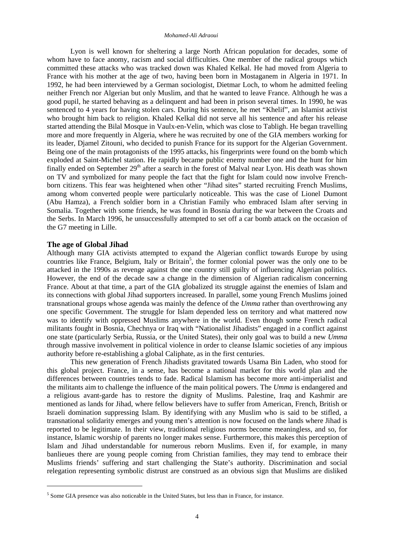Lyon is well known for sheltering a large North African population for decades, some of whom have to face anomy, racism and social difficulties. One member of the radical groups which committed these attacks who was tracked down was Khaled Kelkal. He had moved from Algeria to France with his mother at the age of two, having been born in Mostaganem in Algeria in 1971. In 1992, he had been interviewed by a German sociologist, Dietmar Loch, to whom he admitted feeling neither French nor Algerian but only Muslim, and that he wanted to leave France. Although he was a good pupil, he started behaving as a delinquent and had been in prison several times. In 1990, he was sentenced to 4 years for having stolen cars. During his sentence, he met "Khelif", an Islamist activist who brought him back to religion. Khaled Kelkal did not serve all his sentence and after his release started attending the Bilal Mosque in Vaulx-en-Velin, which was close to Tabligh. He began travelling more and more frequently in Algeria, where he was recruited by one of the GIA members working for its leader, Djamel Zitouni, who decided to punish France for its support for the Algerian Government. Being one of the main protagonists of the 1995 attacks, his fingerprints were found on the bomb which exploded at Saint-Michel station. He rapidly became public enemy number one and the hunt for him finally ended on September 29<sup>th</sup> after a search in the forest of Malval near Lyon. His death was shown on TV and symbolized for many people the fact that the fight for Islam could now involve Frenchborn citizens. This fear was heightened when other "Jihad sites" started recruiting French Muslims, among whom converted people were particularly noticeable. This was the case of Lionel Dumont (Abu Hamza), a French soldier born in a Christian Family who embraced Islam after serving in Somalia. Together with some friends, he was found in Bosnia during the war between the Croats and the Serbs. In March 1996, he unsuccessfully attempted to set off a car bomb attack on the occasion of the G7 meeting in Lille.

### **The age of Global Jihad**

 $\overline{a}$ 

Although many GIA activists attempted to expand the Algerian conflict towards Europe by using countries like France, Belgium, Italy or Britain<sup>5</sup>, the former colonial power was the only one to be attacked in the 1990s as revenge against the one country still guilty of influencing Algerian politics. However, the end of the decade saw a change in the dimension of Algerian radicalism concerning France. About at that time, a part of the GIA globalized its struggle against the enemies of Islam and its connections with global Jihad supporters increased. In parallel, some young French Muslims joined transnational groups whose agenda was mainly the defence of the *Umma* rather than overthrowing any one specific Government. The struggle for Islam depended less on territory and what mattered now was to identify with oppressed Muslims anywhere in the world. Even though some French radical militants fought in Bosnia, Chechnya or Iraq with "Nationalist Jihadists" engaged in a conflict against one state (particularly Serbia, Russia, or the United States), their only goal was to build a new *Umma*  through massive involvement in political violence in order to cleanse Islamic societies of any impious authority before re-establishing a global Caliphate, as in the first centuries.

This new generation of French Jihadists gravitated towards Usama Bin Laden, who stood for this global project. France, in a sense, has become a national market for this world plan and the differences between countries tends to fade. Radical Islamism has become more anti-imperialist and the militants aim to challenge the influence of the main political powers. The *Umma* is endangered and a religious avant-garde has to restore the dignity of Muslims. Palestine, Iraq and Kashmir are mentioned as lands for Jihad, where fellow believers have to suffer from American, French, British or Israeli domination suppressing Islam. By identifying with any Muslim who is said to be stifled, a transnational solidarity emerges and young men's attention is now focused on the lands where Jihad is reported to be legitimate. In their view, traditional religious norms become meaningless, and so, for instance, Islamic worship of parents no longer makes sense. Furthermore, this makes this perception of Islam and Jihad understandable for numerous reborn Muslims. Even if, for example, in many banlieues there are young people coming from Christian families, they may tend to embrace their Muslims friends' suffering and start challenging the State's authority. Discrimination and social relegation representing symbolic distrust are construed as an obvious sign that Muslims are disliked

<sup>&</sup>lt;sup>5</sup> Some GIA presence was also noticeable in the United States, but less than in France, for instance.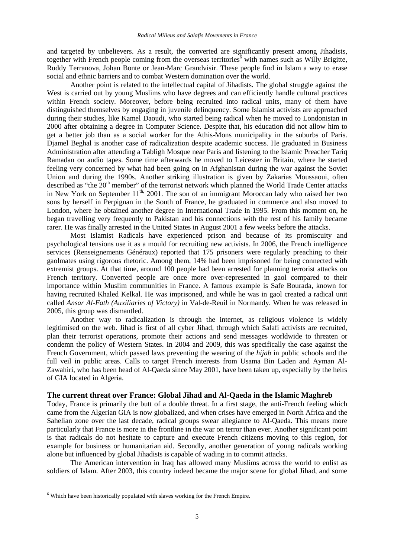and targeted by unbelievers. As a result, the converted are significantly present among Jihadists, together with French people coming from the overseas territories<sup>6</sup> with names such as Willy Brigitte, Ruddy Terranova, Johan Bonte or Jean-Marc Grandvisir. These people find in Islam a way to erase social and ethnic barriers and to combat Western domination over the world.

Another point is related to the intellectual capital of Jihadists. The global struggle against the West is carried out by young Muslims who have degrees and can efficiently handle cultural practices within French society. Moreover, before being recruited into radical units, many of them have distinguished themselves by engaging in juvenile delinquency. Some Islamist activists are approached during their studies, like Kamel Daoudi, who started being radical when he moved to Londonistan in 2000 after obtaining a degree in Computer Science. Despite that, his education did not allow him to get a better job than as a social worker for the Athis-Mons municipality in the suburbs of Paris. Djamel Beghal is another case of radicalization despite academic success. He graduated in Business Administration after attending a Tabligh Mosque near Paris and listening to the Islamic Preacher Tariq Ramadan on audio tapes. Some time afterwards he moved to Leicester in Britain, where he started feeling very concerned by what had been going on in Afghanistan during the war against the Soviet Union and during the 1990s. Another striking illustration is given by Zakarias Moussaoui, often described as "the  $20<sup>th</sup>$  member" of the terrorist network which planned the World Trade Center attacks in New York on September  $11^{th}$ , 2001. The son of an immigrant Moroccan lady who raised her two sons by herself in Perpignan in the South of France, he graduated in commerce and also moved to London, where he obtained another degree in International Trade in 1995. From this moment on, he began travelling very frequently to Pakistan and his connections with the rest of his family became rarer. He was finally arrested in the United States in August 2001 a few weeks before the attacks.

Most Islamist Radicals have experienced prison and because of its promiscuity and psychological tensions use it as a mould for recruiting new activists. In 2006, the French intelligence services (Renseignements Généraux) reported that 175 prisoners were regularly preaching to their gaolmates using rigorous rhetoric. Among them, 14% had been imprisoned for being connected with extremist groups. At that time, around 100 people had been arrested for planning terrorist attacks on French territory. Converted people are once more over-represented in gaol compared to their importance within Muslim communities in France. A famous example is Safe Bourada, known for having recruited Khaled Kelkal. He was imprisoned, and while he was in gaol created a radical unit called *Ansar Al-Fath (Auxiliaries of Victory)* in Val-de-Reuil in Normandy. When he was released in 2005, this group was dismantled.

Another way to radicalization is through the internet, as religious violence is widely legitimised on the web. Jihad is first of all cyber Jihad, through which Salafi activists are recruited, plan their terrorist operations, promote their actions and send messages worldwide to threaten or condemn the policy of Western States. In 2004 and 2009, this was specifically the case against the French Government, which passed laws preventing the wearing of the *hijab* in public schools and the full veil in public areas. Calls to target French interests from Usama Bin Laden and Ayman Al-Zawahiri, who has been head of Al-Qaeda since May 2001, have been taken up, especially by the heirs of GIA located in Algeria.

#### **The current threat over France: Global Jihad and Al-Qaeda in the Islamic Maghreb**

Today, France is primarily the butt of a double threat. In a first stage, the anti-French feeling which came from the Algerian GIA is now globalized, and when crises have emerged in North Africa and the Sahelian zone over the last decade, radical groups swear allegiance to Al-Qaeda. This means more particularly that France is more in the frontline in the war on terror than ever. Another significant point is that radicals do not hesitate to capture and execute French citizens moving to this region, for example for business or humanitarian aid. Secondly, another generation of young radicals working alone but influenced by global Jihadists is capable of wading in to commit attacks.

The American intervention in Iraq has allowed many Muslims across the world to enlist as soldiers of Islam. After 2003, this country indeed became the major scene for global Jihad, and some

 $\overline{a}$ 

 $6$  Which have been historically populated with slaves working for the French Empire.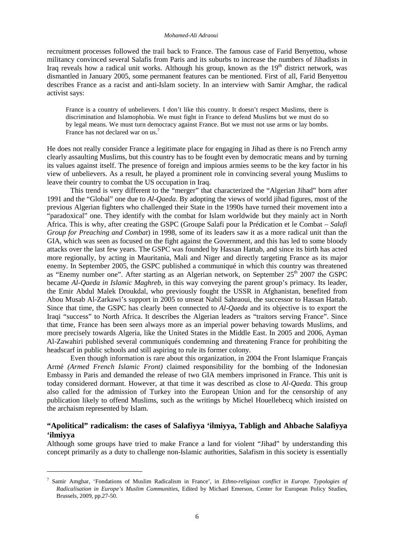recruitment processes followed the trail back to France. The famous case of Farid Benyettou, whose militancy convinced several Salafis from Paris and its suburbs to increase the numbers of Jihadists in Iraq reveals how a radical unit works. Although his group, known as the  $19<sup>th</sup>$  district network, was dismantled in January 2005, some permanent features can be mentioned. First of all, Farid Benyettou describes France as a racist and anti-Islam society. In an interview with Samir Amghar, the radical activist says:

France is a country of unbelievers. I don't like this country. It doesn't respect Muslims, there is discrimination and Islamophobia. We must fight in France to defend Muslims but we must do so by legal means. We must turn democracy against France. But we must not use arms or lay bombs. France has not declared war on us.<sup>7</sup>

He does not really consider France a legitimate place for engaging in Jihad as there is no French army clearly assaulting Muslims, but this country has to be fought even by democratic means and by turning its values against itself. The presence of foreign and impious armies seems to be the key factor in his view of unbelievers. As a result, he played a prominent role in convincing several young Muslims to leave their country to combat the US occupation in Iraq.

This trend is very different to the "merger" that characterized the "Algerian Jihad" born after 1991 and the "Global" one due to *Al-Qaeda*. By adopting the views of world jihad figures, most of the previous Algerian fighters who challenged their State in the 1990s have turned their movement into a "paradoxical" one. They identify with the combat for Islam worldwide but they mainly act in North Africa. This is why, after creating the GSPC (Groupe Salafi pour la Prédication et le Combat – *Salafi Group for Preaching and Combat*) in 1998, some of its leaders saw it as a more radical unit than the GIA, which was seen as focused on the fight against the Government, and this has led to some bloody attacks over the last few years. The GSPC was founded by Hassan Hattab, and since its birth has acted more regionally, by acting in Mauritania, Mali and Niger and directly targeting France as its major enemy. In September 2005, the GSPC published a communiqué in which this country was threatened as "Enemy number one". After starting as an Algerian network, on September 25<sup>th</sup> 2007 the GSPC became *Al-Qaeda in Islamic Maghreb,* in this way conveying the parent group's primacy. Its leader, the Emir Abdul Malek Droukdal, who previously fought the USSR in Afghanistan, benefited from Abou Musab Al-Zarkawi's support in 2005 to unseat Nabil Sahraoui, the successor to Hassan Hattab. Since that time, the GSPC has clearly been connected to *Al-Qaeda* and its objective is to export the Iraqi "success" to North Africa. It describes the Algerian leaders as "traitors serving France". Since that time, France has been seen always more as an imperial power behaving towards Muslims, and more precisely towards Algeria, like the United States in the Middle East. In 2005 and 2006, Ayman Al-Zawahiri published several communiqués condemning and threatening France for prohibiting the headscarf in public schools and still aspiring to rule its former colony.

Even though information is rare about this organization, in 2004 the Front Islamique Français Armé *(Armed French Islamic Front)* claimed responsibility for the bombing of the Indonesian Embassy in Paris and demanded the release of two GIA members imprisoned in France. This unit is today considered dormant. However, at that time it was described as close to *Al-Qaeda*. This group also called for the admission of Turkey into the European Union and for the censorship of any publication likely to offend Muslims, such as the writings by Michel Houellebecq which insisted on the archaism represented by Islam.

# **"Apolitical" radicalism: the cases of Salafiyya 'ilmiyya, Tabligh and Ahbache Salafiyya 'ilmiyya**

Although some groups have tried to make France a land for violent "Jihad" by understanding this concept primarily as a duty to challenge non-Islamic authorities, Salafism in this society is essentially

 $\overline{a}$ 

<sup>7</sup> Samir Amghar, 'Fondations of Muslim Radicalism in France', in *Ethno-religious conflict in Europe. Typologies of Radicalisation in Europe's Muslim Communities*, Edited by Michael Emerson, Center for European Policy Studies, Brussels, 2009, pp.27-50.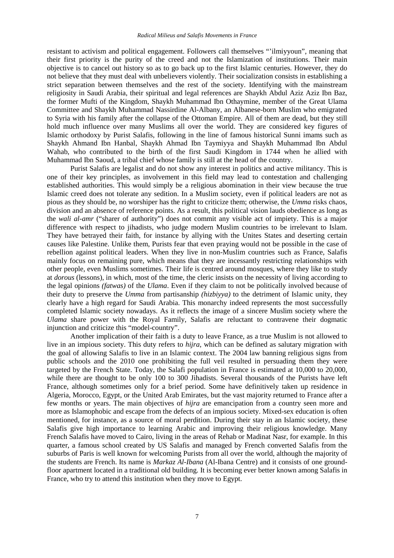resistant to activism and political engagement. Followers call themselves "'ilmiyyoun", meaning that their first priority is the purity of the creed and not the Islamization of institutions. Their main objective is to cancel out history so as to go back up to the first Islamic centuries. However, they do not believe that they must deal with unbelievers violently. Their socialization consists in establishing a strict separation between themselves and the rest of the society. Identifying with the mainstream religiosity in Saudi Arabia, their spiritual and legal references are Shaykh Abdul Aziz Aziz Ibn Baz, the former Mufti of the Kingdom, Shaykh Muhammad Ibn Othaymine, member of the Great Ulama Committee and Shaykh Muhammad Nassirdine Al-Albany, an Albanese-born Muslim who emigrated to Syria with his family after the collapse of the Ottoman Empire. All of them are dead, but they still hold much influence over many Muslims all over the world. They are considered key figures of Islamic orthodoxy by Purist Salafis, following in the line of famous historical Sunni imams such as Shaykh Ahmand Ibn Hanbal, Shaykh Ahmad Ibn Taymiyya and Shaykh Muhammad Ibn Abdul Wahab, who contributed to the birth of the first Saudi Kingdom in 1744 when he allied with Muhammad Ibn Saoud, a tribal chief whose family is still at the head of the country.

Purist Salafis are legalist and do not show any interest in politics and active militancy. This is one of their key principles, as involvement in this field may lead to contestation and challenging established authorities. This would simply be a religious abomination in their view because the true Islamic creed does not tolerate any sedition. In a Muslim society, even if political leaders are not as pious as they should be, no worshiper has the right to criticize them; otherwise, the *Umma* risks chaos, division and an absence of reference points. As a result, this political vision lauds obedience as long as the *wali al-amr* ("sharer of authority") does not commit any visible act of impiety. This is a major difference with respect to jihadists, who judge modern Muslim countries to be irrelevant to Islam. They have betrayed their faith, for instance by allying with the Unites States and deserting certain causes like Palestine. Unlike them, Purists fear that even praying would not be possible in the case of rebellion against political leaders. When they live in non-Muslim countries such as France, Salafis mainly focus on remaining pure, which means that they are incessantly restricting relationships with other people, even Muslims sometimes. Their life is centred around mosques, where they like to study at *dorous* (lessons), in which, most of the time, the cleric insists on the necessity of living according to the legal opinions *(fatwas)* of the *Ulama*. Even if they claim to not be politically involved because of their duty to preserve the *Umma* from partisanship *(hizbiyya)* to the detriment of Islamic unity, they clearly have a high regard for Saudi Arabia. This monarchy indeed represents the most successfully completed Islamic society nowadays. As it reflects the image of a sincere Muslim society where the *Ulama* share power with the Royal Family, Salafis are reluctant to contravene their dogmatic injunction and criticize this "model-country".

Another implication of their faith is a duty to leave France, as a true Muslim is not allowed to live in an impious society. This duty refers to *hijra*, which can be defined as salutary migration with the goal of allowing Salafis to live in an Islamic context. The 2004 law banning religious signs from public schools and the 2010 one prohibiting the full veil resulted in persuading them they were targeted by the French State. Today, the Salafi population in France is estimated at 10,000 to 20,000, while there are thought to be only 100 to 300 Jihadists. Several thousands of the Purists have left France, although sometimes only for a brief period. Some have definitively taken up residence in Algeria, Morocco, Egypt, or the United Arab Emirates, but the vast majority returned to France after a few months or years. The main objectives of *hijra* are emancipation from a country seen more and more as Islamophobic and escape from the defects of an impious society. Mixed-sex education is often mentioned, for instance, as a source of moral perdition. During their stay in an Islamic society, these Salafis give high importance to learning Arabic and improving their religious knowledge. Many French Salafis have moved to Cairo, living in the areas of Rehab or Madinat Nasr, for example. In this quarter, a famous school created by US Salafis and managed by French converted Salafis from the suburbs of Paris is well known for welcoming Purists from all over the world, although the majority of the students are French. Its name is *Markaz Al-Ibana* (Al-Ibana Centre) and it consists of one groundfloor apartment located in a traditional old building. It is becoming ever better known among Salafis in France, who try to attend this institution when they move to Egypt.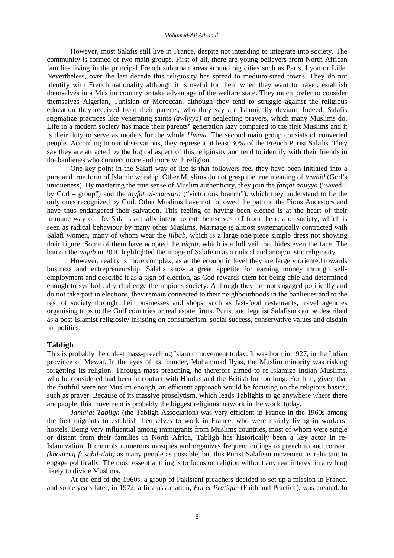However, most Salafis still live in France, despite not intending to integrate into society. The community is formed of two main groups. First of all, there are young believers from North African families living in the principal French suburban areas around big cities such as Paris, Lyon or Lille. Nevertheless, over the last decade this religiosity has spread to medium-sized towns. They do not identify with French nationality although it is useful for them when they want to travel, establish themselves in a Muslim country or take advantage of the welfare state. They much prefer to consider themselves Algerian, Tunisian or Moroccan, although they tend to struggle against the religious education they received from their parents, who they say are Islamically deviant. Indeed, Salafis stigmatize practices like venerating saints *(awliyya)* or neglecting prayers, which many Muslims do. Life in a modern society has made their parents' generation lazy compared to the first Muslims and it is their duty to serve as models for the whole *Umma*. The second main group consists of converted people. According to our observations, they represent at least 30% of the French Purist Salafis. They say they are attracted by the logical aspect of this religiosity and tend to identify with their friends in the banlieues who connect more and more with religion.

One key point in the Salafi way of life is that followers feel they have been initiated into a pure and true form of Islamic worship. Other Muslims do not grasp the true meaning of *tawhid* (God's uniqueness). By mastering the true sense of Muslim authenticity, they join the *farqat najiyya* ("saved – by God – group") and the *tayfat al-mansura* ("victorious branch"), which they understand to be the only ones recognized by God. Other Muslims have not followed the path of the Pious Ancestors and have thus endangered their salvation. This feeling of having been elected is at the heart of their immune way of life. Salafis actually intend to cut themselves off from the rest of society, which is seen as radical behaviour by many other Muslims. Marriage is almost systematically contracted with Salafi women, many of whom wear the *jilbab,* which is a large one-piece simple dress not showing their figure. Some of them have adopted the *niqab,* which is a full veil that hides even the face. The ban on the *niqab* in 2010 highlighted the image of Salafism as a radical and antagonistic religiosity.

However, reality is more complex, as at the economic level they are largely oriented towards business and entrepreneurship. Salafis show a great appetite for earning money through selfemployment and describe it as a sign of election, as God rewards them for being able and determined enough to symbolically challenge the impious society. Although they are not engaged politically and do not take part in elections, they remain connected to their neighbourhoods in the banlieues and to the rest of society through their businesses and shops, such as fast-food restaurants, travel agencies organising trips to the Gulf countries or real estate firms. Purist and legalist Salafism can be described as a post-Islamist religiosity insisting on consumerism, social success, conservative values and disdain for politics.

# **Tabligh**

This is probably the oldest mass-preaching Islamic movement today. It was born in 1927, in the Indian province of Mewat. In the eyes of its founder, Muhammad Ilyas, the Muslim minority was risking forgetting its religion. Through mass preaching, he therefore aimed to re-Islamize Indian Muslims, who he considered had been in contact with Hindus and the British for too long. For him, given that the faithful were not Muslim enough, an efficient approach would be focusing on the religious basics, such as prayer. Because of its massive proselytism, which leads Tablighis to go anywhere where there are people, this movement is probably the biggest religious network in the world today.

*Jama'at Tabligh* (the Tabligh Association) was very efficient in France in the 1960s among the first migrants to establish themselves to work in France, who were mainly living in workers' hostels. Being very influential among immigrants from Muslims countries, most of whom were single or distant from their families in North Africa, Tabligh has historically been a key actor in re-Islamization. It controls numerous mosques and organizes frequent outings to preach to and convert *(khourouj fi sabil-ilah)* as many people as possible, but this Purist Salafism movement is reluctant to engage politically. The most essential thing is to focus on religion without any real interest in anything likely to divide Muslims.

At the end of the 1960s, a group of Pakistani preachers decided to set up a mission in France, and some years later, in 1972, a first association, *Foi et Pratique* (Faith and Practice), was created. In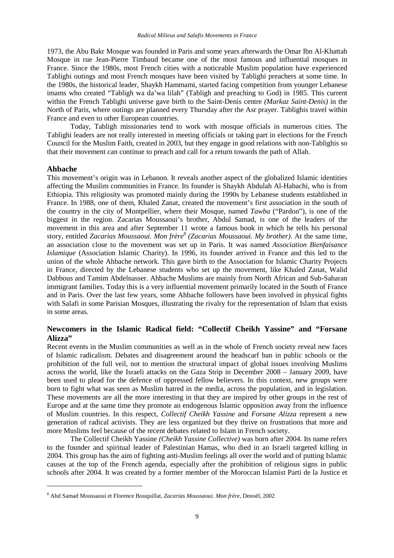1973, the Abu Bakr Mosque was founded in Paris and some years afterwards the Omar Ibn Al-Khattab Mosque in rue Jean-Pierre Timbaud became one of the most famous and influential mosques in France. Since the 1980s, most French cities with a noticeable Muslim population have experienced Tablighi outings and most French mosques have been visited by Tablighi preachers at some time. In the 1980s, the historical leader, Shaykh Hammami, started facing competition from younger Lebanese imams who created "Tabligh wa da'wa lilah" (Tabligh and preaching to God) in 1985. This current within the French Tablighi universe gave birth to the Saint-Denis centre *(Markaz Saint-Denis)* in the North of Paris, where outings are planned every Thursday after the Asr prayer. Tablighis travel within France and even to other European countries.

Today, Tabligh missionaries tend to work with mosque officials in numerous cities. The Tablighi leaders are not really interested in meeting officials or taking part in elections for the French Council for the Muslim Faith, created in 2003, but they engage in good relations with non-Tablighis so that their movement can continue to preach and call for a return towards the path of Allah.

#### **Ahbache**

 $\overline{a}$ 

This movement's origin was in Lebanon. It reveals another aspect of the globalized Islamic identities affecting the Muslim communities in France. Its founder is Shaykh Abdulah Al-Habachi, who is from Ethiopia. This religiosity was promoted mainly during the 1990s by Lebanese students established in France. In 1988, one of them, Khaled Zanat, created the movement's first association in the south of the country in the city of Montpellier, where their Mosque, named *Tawba* ("Pardon"), is one of the biggest in the region. Zacarias Moussaoui's brother, Abdul Samad, is one of the leaders of the movement in this area and after September 11 wrote a famous book in which he tells his personal story, entitled *Zacarias Moussaoui. Mon frère<sup>8</sup> (Zacarias Moussaoui. My brother).* At the same time, an association close to the movement was set up in Paris. It was named *Association Bienfaisance Islamique* (Association Islamic Charity). In 1996, its founder arrived in France and this led to the union of the whole Ahbache network. This gave birth to the Association for Islamic Charity Projects in France, directed by the Lebanese students who set up the movement, like Khaled Zanat, Walid Dabbous and Tamim Abdelnasser. Ahbache Muslims are mainly from North African and Sub-Saharan immigrant families. Today this is a very influential movement primarily located in the South of France and in Paris. Over the last few years, some Ahbache followers have been involved in physical fights with Salafi in some Parisian Mosques, illustrating the rivalry for the representation of Islam that exists in some areas.

# **Newcomers in the Islamic Radical field: "Collectif Cheikh Yassine" and "Forsane Alizza"**

Recent events in the Muslim communities as well as in the whole of French society reveal new faces of Islamic radicalism. Debates and disagreement around the headscarf ban in public schools or the prohibition of the full veil, not to mention the structural impact of global issues involving Muslims across the world, like the Israeli attacks on the Gaza Strip in December 2008 – January 2009, have been used to plead for the defence of oppressed fellow believers. In this context, new groups were born to fight what was seen as Muslim hatred in the media, across the population, and in legislation. These movements are all the more interesting in that they are inspired by other groups in the rest of Europe and at the same time they promote an endogenous Islamic opposition away from the influence of Muslim countries. In this respect, *Collectif Cheikh Yassine* and *Forsane Alizza* represent a new generation of radical activists. They are less organized but they thrive on frustrations that more and more Muslims feel because of the recent debates related to Islam in French society.

The Collectif Cheikh Yassine *(Cheikh Yassine Collective)* was born after 2004. Its name refers to the founder and spiritual leader of Palestinian Hamas, who died in an Israeli targeted killing in 2004. This group has the aim of fighting anti-Muslim feelings all over the world and of putting Islamic causes at the top of the French agenda, especially after the prohibition of religious signs in public schools after 2004. It was created by a former member of the Moroccan Islamist Parti de la Justice et

<sup>8</sup> Abd Samad Moussaoui et Florence Bouquillat, *Zacarias Moussaoui. Mon frère*, Denoël, 2002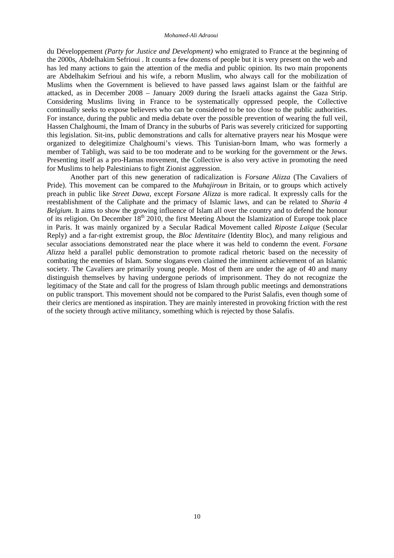du Développement *(Party for Justice and Development)* who emigrated to France at the beginning of the 2000s, Abdelhakim Sefrioui . It counts a few dozens of people but it is very present on the web and has led many actions to gain the attention of the media and public opinion. Its two main proponents are Abdelhakim Sefrioui and his wife, a reborn Muslim, who always call for the mobilization of Muslims when the Government is believed to have passed laws against Islam or the faithful are attacked, as in December 2008 – January 2009 during the Israeli attacks against the Gaza Strip. Considering Muslims living in France to be systematically oppressed people, the Collective continually seeks to expose believers who can be considered to be too close to the public authorities. For instance, during the public and media debate over the possible prevention of wearing the full veil, Hassen Chalghoumi, the Imam of Drancy in the suburbs of Paris was severely criticized for supporting this legislation. Sit-ins, public demonstrations and calls for alternative prayers near his Mosque were organized to delegitimize Chalghoumi's views. This Tunisian-born Imam, who was formerly a member of Tabligh, was said to be too moderate and to be working for the government or the Jews. Presenting itself as a pro-Hamas movement, the Collective is also very active in promoting the need for Muslims to help Palestinians to fight Zionist aggression.

Another part of this new generation of radicalization is *Forsane Alizza* (The Cavaliers of Pride). This movement can be compared to the *Muhajiroun* in Britain, or to groups which actively preach in public like *Street Dawa,* except *Forsane Alizza* is more radical. It expressly calls for the reestablishment of the Caliphate and the primacy of Islamic laws, and can be related to *Sharia 4 Belgium*. It aims to show the growing influence of Islam all over the country and to defend the honour of its religion. On December  $18<sup>th</sup> 2010$ , the first Meeting About the Islamization of Europe took place in Paris. It was mainly organized by a Secular Radical Movement called *Riposte Laïque* (Secular Reply) and a far-right extremist group, the *Bloc Identitaire* (Identity Bloc), and many religious and secular associations demonstrated near the place where it was held to condemn the event. *Forsane Alizza* held a parallel public demonstration to promote radical rhetoric based on the necessity of combating the enemies of Islam. Some slogans even claimed the imminent achievement of an Islamic society. The Cavaliers are primarily young people. Most of them are under the age of 40 and many distinguish themselves by having undergone periods of imprisonment. They do not recognize the legitimacy of the State and call for the progress of Islam through public meetings and demonstrations on public transport. This movement should not be compared to the Purist Salafis, even though some of their clerics are mentioned as inspiration. They are mainly interested in provoking friction with the rest of the society through active militancy, something which is rejected by those Salafis.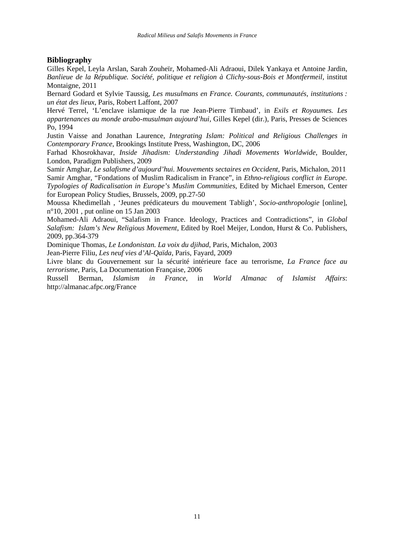# **Bibliography**

Gilles Kepel, Leyla Arslan, Sarah Zouheïr, Mohamed-Ali Adraoui, Dilek Yankaya et Antoine Jardin, *Banlieue de la République. Société, politique et religion à Clichy-sous-Bois et Montfermeil*, institut Montaigne, 2011

Bernard Godard et Sylvie Taussig, *Les musulmans en France. Courants, communautés, institutions : un état des lieux*, Paris, Robert Laffont, 2007

Hervé Terrel, 'L'enclave islamique de la rue Jean-Pierre Timbaud', in *Exils et Royaumes. Les appartenances au monde arabo-musulman aujourd'hui*, Gilles Kepel (dir.), Paris, Presses de Sciences Po, 1994

Justin Vaisse and Jonathan Laurence, *Integrating Islam: Political and Religious Challenges in Contemporary France*, Brookings Institute Press, Washington, DC, 2006

Farhad Khosrokhavar, *Inside Jihadism: Understanding Jihadi Movements Worldwide*, Boulder, London, Paradigm Publishers, 2009

Samir Amghar, *Le salafisme d'aujourd'hui. Mouvements sectaires en Occident*, Paris, Michalon, 2011 Samir Amghar, "Fondations of Muslim Radicalism in France", in *Ethno-religious conflict in Europe. Typologies of Radicalisation in Europe's Muslim Communities*, Edited by Michael Emerson, Center for European Policy Studies, Brussels, 2009, pp.27-50

Moussa Khedimellah , 'Jeunes prédicateurs du mouvement Tabligh', *Socio-anthropologie* [online], n°10, 2001 , put online on 15 Jan 2003

Mohamed-Ali Adraoui, "Salafism in France. Ideology, Practices and Contradictions", in *Global Salafism: Islam's New Religious Movement*, Edited by Roel Meijer, London, Hurst & Co. Publishers, 2009, pp.364-379

Dominique Thomas, *Le Londonistan. La voix du djihad*, Paris, Michalon, 2003

Jean-Pierre Filiu, *Les neuf vies d'Al-Qaïda*, Paris, Fayard, 2009

Livre blanc du Gouvernement sur la sécurité intérieure face au terrorisme, *La France face au terrorisme*, Paris, La Documentation Française, 2006

Russell Berman, *Islamism in France*, in *World Almanac of Islamist Affairs*: http://almanac.afpc.org/France